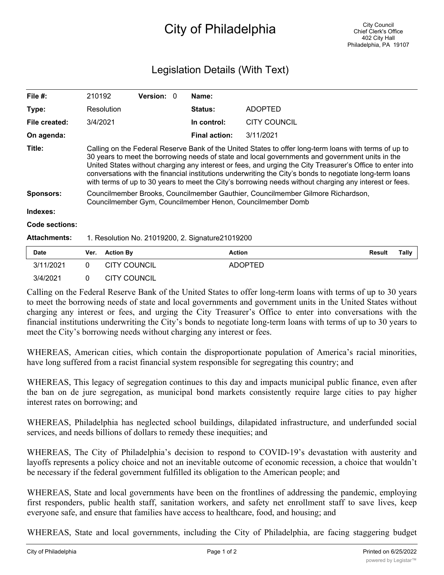## City of Philadelphia

## Legislation Details (With Text)

| File $#$ :          | 210192                                                                                                                                                                                                                                                                                                                                                                                                                                                                                                                                      | <b>Version: 0</b> |  | Name:                |                |        |       |
|---------------------|---------------------------------------------------------------------------------------------------------------------------------------------------------------------------------------------------------------------------------------------------------------------------------------------------------------------------------------------------------------------------------------------------------------------------------------------------------------------------------------------------------------------------------------------|-------------------|--|----------------------|----------------|--------|-------|
| Type:               | Resolution                                                                                                                                                                                                                                                                                                                                                                                                                                                                                                                                  |                   |  | <b>Status:</b>       | <b>ADOPTED</b> |        |       |
| File created:       | 3/4/2021                                                                                                                                                                                                                                                                                                                                                                                                                                                                                                                                    |                   |  | In control:          | CITY COUNCIL   |        |       |
| On agenda:          |                                                                                                                                                                                                                                                                                                                                                                                                                                                                                                                                             |                   |  | <b>Final action:</b> | 3/11/2021      |        |       |
| Title:              | Calling on the Federal Reserve Bank of the United States to offer long-term loans with terms of up to<br>30 years to meet the borrowing needs of state and local governments and government units in the<br>United States without charging any interest or fees, and urging the City Treasurer's Office to enter into<br>conversations with the financial institutions underwriting the City's bonds to negotiate long-term loans<br>with terms of up to 30 years to meet the City's borrowing needs without charging any interest or fees. |                   |  |                      |                |        |       |
| <b>Sponsors:</b>    | Councilmember Brooks, Councilmember Gauthier, Councilmember Gilmore Richardson,<br>Councilmember Gym, Councilmember Henon, Councilmember Domb                                                                                                                                                                                                                                                                                                                                                                                               |                   |  |                      |                |        |       |
| Indexes:            |                                                                                                                                                                                                                                                                                                                                                                                                                                                                                                                                             |                   |  |                      |                |        |       |
| Code sections:      |                                                                                                                                                                                                                                                                                                                                                                                                                                                                                                                                             |                   |  |                      |                |        |       |
| <b>Attachments:</b> | 1. Resolution No. 21019200, 2. Signature21019200                                                                                                                                                                                                                                                                                                                                                                                                                                                                                            |                   |  |                      |                |        |       |
| <b>Date</b>         | <b>Action By</b><br>Ver.                                                                                                                                                                                                                                                                                                                                                                                                                                                                                                                    |                   |  | <b>Action</b>        |                | Result | Tally |

Calling on the Federal Reserve Bank of the United States to offer long-term loans with terms of up to 30 years to meet the borrowing needs of state and local governments and government units in the United States without charging any interest or fees, and urging the City Treasurer's Office to enter into conversations with the financial institutions underwriting the City's bonds to negotiate long-term loans with terms of up to 30 years to meet the City's borrowing needs without charging any interest or fees.

3/11/2021 0 CITY COUNCIL ADOPTED

3/4/2021 0 CITY COUNCIL

WHEREAS, American cities, which contain the disproportionate population of America's racial minorities, have long suffered from a racist financial system responsible for segregating this country; and

WHEREAS, This legacy of segregation continues to this day and impacts municipal public finance, even after the ban on de jure segregation, as municipal bond markets consistently require large cities to pay higher interest rates on borrowing; and

WHEREAS, Philadelphia has neglected school buildings, dilapidated infrastructure, and underfunded social services, and needs billions of dollars to remedy these inequities; and

WHEREAS, The City of Philadelphia's decision to respond to COVID-19's devastation with austerity and layoffs represents a policy choice and not an inevitable outcome of economic recession, a choice that wouldn't be necessary if the federal government fulfilled its obligation to the American people; and

WHEREAS, State and local governments have been on the frontlines of addressing the pandemic, employing first responders, public health staff, sanitation workers, and safety net enrollment staff to save lives, keep everyone safe, and ensure that families have access to healthcare, food, and housing; and

WHEREAS, State and local governments, including the City of Philadelphia, are facing staggering budget